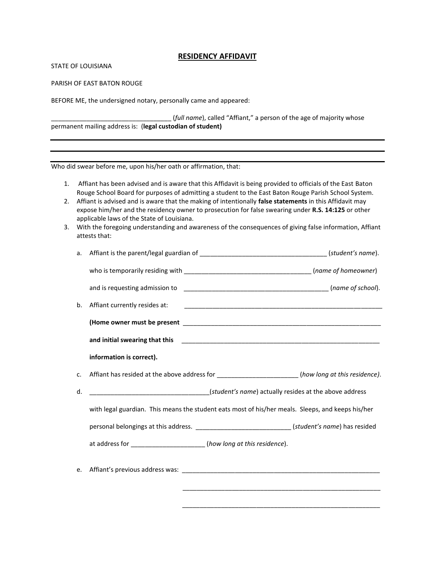## **RESIDENCY AFFIDAVIT**

STATE OF LOUISIANA

PARISH OF EAST BATON ROUGE

BEFORE ME, the undersigned notary, personally came and appeared:

\_\_\_\_\_\_\_\_\_\_\_\_\_\_\_\_\_\_\_\_\_\_\_\_\_\_\_\_\_\_\_\_\_\_ (*full name*), called "Affiant," a person of the age of majority whose permanent mailing address is: (**legal custodian of student)**

Who did swear before me, upon his/her oath or affirmation, that:

- 1. Affiant has been advised and is aware that this Affidavit is being provided to officials of the East Baton Rouge School Board for purposes of admitting a student to the East Baton Rouge Parish School System.
- 2. Affiant is advised and is aware that the making of intentionally **false statements** in this Affidavit may expose him/her and the residency owner to prosecution for false swearing under **R.S. 14:125** or other applicable laws of the State of Louisiana.
- 3. With the foregoing understanding and awareness of the consequences of giving false information, Affiant attests that:

| a. |                                                                                                        |  |
|----|--------------------------------------------------------------------------------------------------------|--|
|    |                                                                                                        |  |
|    |                                                                                                        |  |
| b. | Affiant currently resides at:                                                                          |  |
|    |                                                                                                        |  |
|    |                                                                                                        |  |
|    | information is correct).                                                                               |  |
| C. | Affiant has resided at the above address for ____________________(how long at this residence).         |  |
| d. | (student's name) actually resides at the above address [10] (10) actually resides at the above address |  |
|    | with legal guardian. This means the student eats most of his/her meals. Sleeps, and keeps his/her      |  |
|    | personal belongings at this address. ______________________________(student's name) has resided        |  |
|    | at address for _____________________(how long at this residence).                                      |  |
| e. |                                                                                                        |  |

\_\_\_\_\_\_\_\_\_\_\_\_\_\_\_\_\_\_\_\_\_\_\_\_\_\_\_\_\_\_\_\_\_\_\_\_\_\_\_\_\_\_\_\_\_\_\_\_\_\_\_\_\_\_\_\_